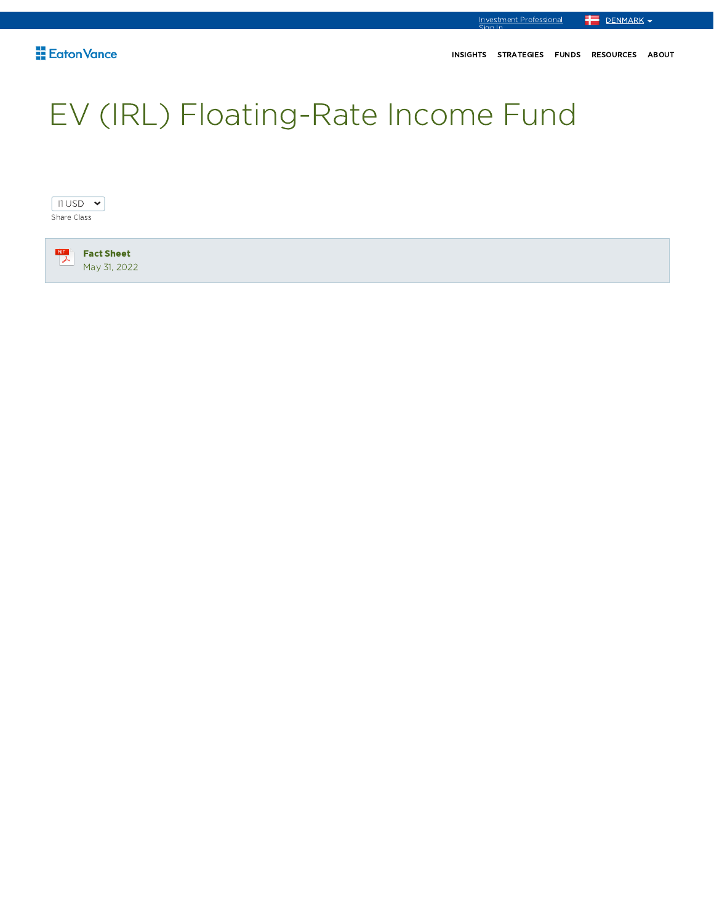DENMARK -

Investment Professional<br>Sign In

# EV (IRL) Floating-Rate Income Fund

 $11$  USD  $\sim$ Share Class

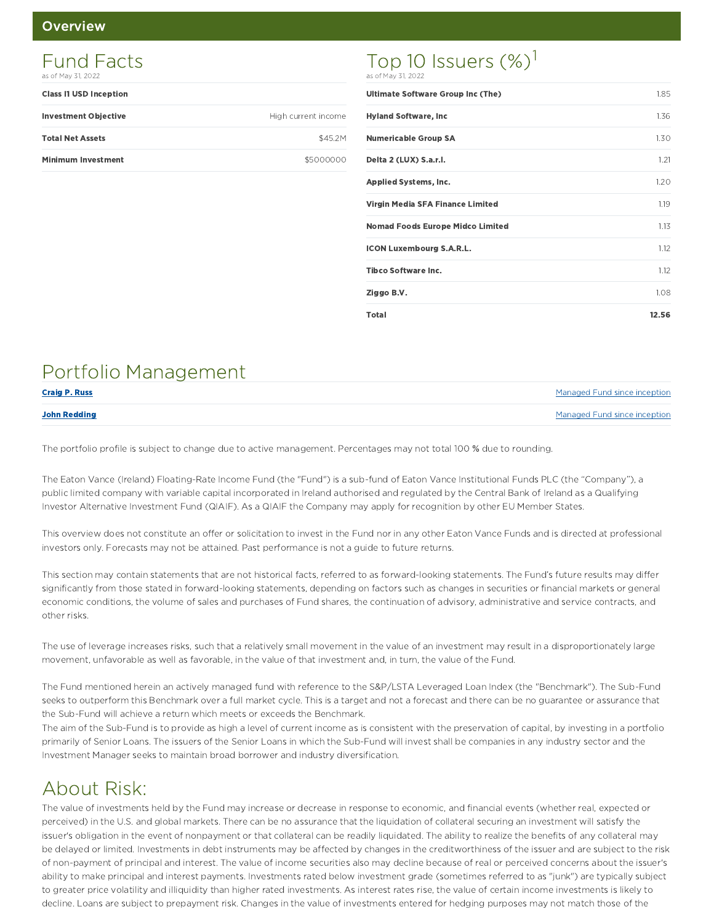#### **Overview**

## Class I1 USD Inception Investment Objective **High current income** Total Net Assets \$45.2M Minimum Investment **All and Struck and Struck and Struck and Struck and Struck and Struck and Struck and Struck** Fund Facts as of May 31, 2022

## Top 10 Issuers (%)<sup>1</sup> as of May 31, 2022

| <b>Ultimate Software Group Inc (The)</b> | 1.85  |
|------------------------------------------|-------|
| <b>Hyland Software, Inc.</b>             | 1.36  |
| <b>Numericable Group SA</b>              | 1.30  |
| Delta 2 (LUX) S.a.r.l.                   | 1.21  |
| <b>Applied Systems, Inc.</b>             | 1.20  |
| Virgin Media SFA Finance Limited         | 1.19  |
| <b>Nomad Foods Europe Midco Limited</b>  | 1.13  |
| <b>ICON Luxembourg S.A.R.L.</b>          | 1.12  |
| <b>Tibco Software Inc.</b>               | 1.12  |
| Ziggo B.V.                               | 1.08  |
| Total                                    | 12.56 |

# Portfolio Management

| <b>Craig P. Russ</b> | Managed Fund since inception |
|----------------------|------------------------------|
| <b>John Redding</b>  | Managed Fund since inception |

The portfolio profile is subject to change due to active management. Percentages may not total 100 % due to rounding.

The Eaton Vance (Ireland) Floating-Rate Income Fund (the "Fund") is a sub-fund of Eaton Vance Institutional Funds PLC (the "Company"), a public limited company with variable capital incorporated in Ireland authorised and regulated by the Central Bank of Ireland as a Qualifying Investor Alternative Investment Fund (QIAIF). As a QIAIF the Company may apply for recognition by other EU Member States.

This overview does not constitute an offer or solicitation to invest in the Fund nor in any other Eaton Vance Funds and is directed at professional investors only. Forecasts may not be attained. Past performance is not a guide to future returns.

This section may contain statements that are not historical facts, referred to as forward-looking statements. The Fund's future results may differ significantly from those stated in forward-looking statements, depending on factors such as changes in securities or financial markets or general economic conditions, the volume of sales and purchases of Fund shares, the continuation of advisory, administrative and service contracts, and other risks.

The use of leverage increases risks, such that a relatively small movement in the value of an investment may result in a disproportionately large movement, unfavorable as well as favorable, in the value of that investment and, in turn, the value of the Fund.

The Fund mentioned herein an actively managed fund with reference to the S&P/LSTA Leveraged Loan Index (the "Benchmark"). The Sub-Fund seeks to outperform this Benchmark over a full market cycle. This is a target and not a forecast and there can be no guarantee or assurance that the Sub-Fund will achieve a return which meets or exceeds the Benchmark.

The aim of the Sub-Fund is to provide as high a level of current income as is consistent with the preservation of capital, by investing in a portfolio primarily of Senior Loans. The issuers of the Senior Loans in which the Sub-Fund will invest shall be companies in any industry sector and the Investment Manager seeks to maintain broad borrower and industry diversification.

# About Risk:

The value of investments held by the Fund may increase or decrease in response to economic, and financial events (whether real, expected or perceived) in the U.S. and global markets. There can be no assurance that the liquidation of collateral securing an investment will satisfy the issuer's obligation in the event of nonpayment or that collateral can be readily liquidated. The ability to realize the benefits of any collateral may be delayed or limited. Investments in debt instruments may be affected by changes in the creditworthiness of the issuer and are subject to the risk of non-payment of principal and interest. The value of income securities also may decline because of real or perceived concerns about the issuer's ability to make principal and interest payments. Investments rated below investment grade (sometimes referred to as "junk") are typically subject to greater price volatility and illiquidity than higher rated investments. As interest rates rise, the value of certain income investments is likely to decline. Loans are subject to prepayment risk. Changes in the value of investments entered for hedging purposes may not match those of the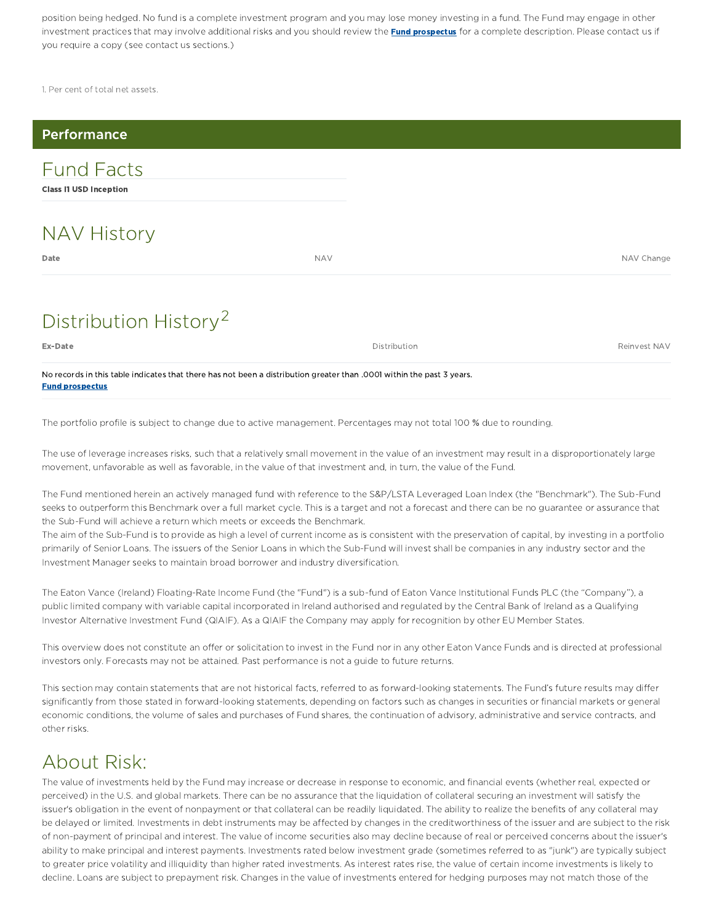position being hedged. No fund is a complete investment program and you may lose money investing in a fund. The Fund may engage in other investment practices that may involve additional risks and you should review the **Fund prospectus** for a complete description. Please contact us if you require a copy (see contact us sections.)

1. Per cent of total net assets.

| Performance                                        |            |              |              |
|----------------------------------------------------|------------|--------------|--------------|
| <b>Fund Facts</b><br><b>Class I1 USD Inception</b> |            |              |              |
| <b>NAV History</b>                                 |            |              |              |
| Date                                               | <b>NAV</b> |              | NAV Change   |
| Distribution History <sup>2</sup>                  |            |              |              |
| Ex-Date                                            |            | Distribution | Reinvest NAV |

No records in this table indicates that there has not been a distribution greater than .0001 within the past 3 years. Fund prospectus

The portfolio profile is subject to change due to active management. Percentages may not total 100 % due to rounding.

The use of leverage increases risks, such that a relatively small movement in the value of an investment may result in a disproportionately large movement, unfavorable as well as favorable, in the value of that investment and, in turn, the value of the Fund.

The Fund mentioned herein an actively managed fund with reference to the S&P/LSTA Leveraged Loan Index (the "Benchmark"). The Sub-Fund seeks to outperform this Benchmark over a full market cycle. This is a target and not a forecast and there can be no guarantee or assurance that the Sub-Fund will achieve a return which meets or exceeds the Benchmark.

The aim of the Sub-Fund is to provide as high a level of current income as is consistent with the preservation of capital, by investing in a portfolio primarily of Senior Loans. The issuers of the Senior Loans in which the Sub-Fund will invest shall be companies in any industry sector and the Investment Manager seeks to maintain broad borrower and industry diversification.

The Eaton Vance (Ireland) Floating-Rate Income Fund (the "Fund") is a sub-fund of Eaton Vance Institutional Funds PLC (the "Company"), a public limited company with variable capital incorporated in Ireland authorised and regulated by the Central Bank of Ireland as a Qualifying Investor Alternative Investment Fund (QIAIF). As a QIAIF the Company may apply for recognition by other EU Member States.

This overview does not constitute an offer or solicitation to invest in the Fund nor in any other Eaton Vance Funds and is directed at professional investors only. Forecasts may not be attained. Past performance is not a guide to future returns.

This section may contain statements that are not historical facts, referred to as forward-looking statements. The Fund's future results may differ significantly from those stated in forward-looking statements, depending on factors such as changes in securities or financial markets or general economic conditions, the volume of sales and purchases of Fund shares, the continuation of advisory, administrative and service contracts, and other risks.

# About Risk:

The value of investments held by the Fund may increase or decrease in response to economic, and financial events (whether real, expected or perceived) in the U.S. and global markets. There can be no assurance that the liquidation of collateral securing an investment will satisfy the issuer's obligation in the event of nonpayment or that collateral can be readily liquidated. The ability to realize the benefits of any collateral may be delayed or limited. Investments in debt instruments may be affected by changes in the creditworthiness of the issuer and are subject to the risk of non-payment of principal and interest. The value of income securities also may decline because of real or perceived concerns about the issuer's ability to make principal and interest payments. Investments rated below investment grade (sometimes referred to as "junk") are typically subject to greater price volatility and illiquidity than higher rated investments. As interest rates rise, the value of certain income investments is likely to decline. Loans are subject to prepayment risk. Changes in the value of investments entered for hedging purposes may not match those of the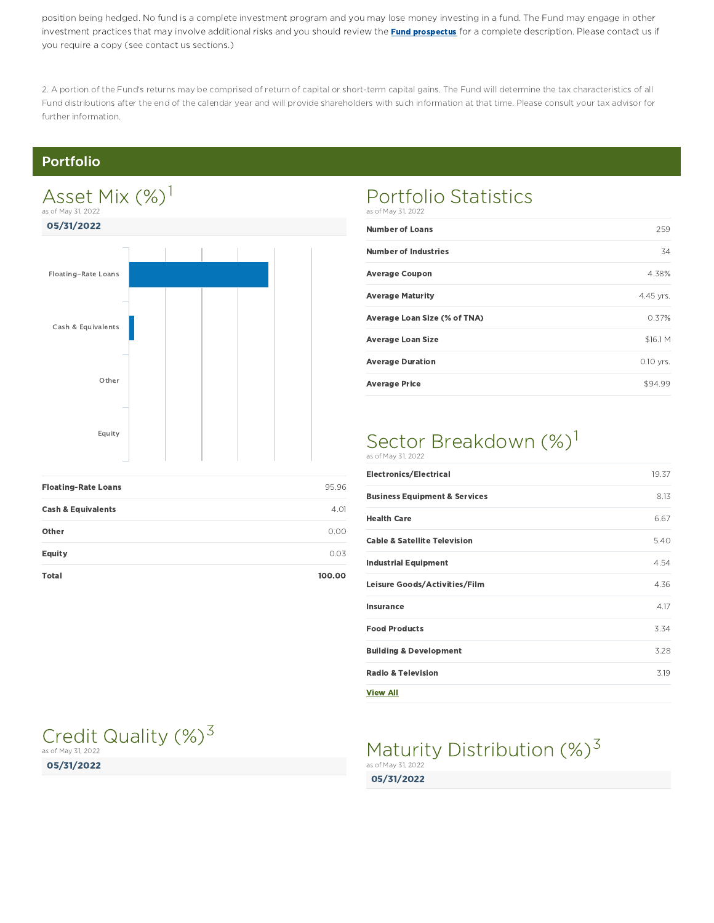position being hedged. No fund is a complete investment program and you may lose money investing in a fund. The Fund may engage in other investment practices that may involve additional risks and you should review the **Fund prospectus** for a complete description. Please contact us if you require a copy (see contact us sections.)

2. A portion of the Fund's returns may be comprised of return of capital or short-term capital gains. The Fund will determine the tax characteristics of all Fund distributions after the end of the calendar year and will provide shareholders with such information at that time. Please consult your tax advisor for further information.

## Portfolio

# 05/31/2022 Floating-Rate Loans **195.96** Cash & Equivalents 4.01 Asset Mix (%)<sup>1</sup> as of May 31, 2022 Floating-Rate Loans Cash & Equivalents Other Equity

| Other        | 0.00   |
|--------------|--------|
| Equity       | 0.03   |
| <b>Total</b> | 100.00 |

## Credit Quality (%)<sup>3</sup> as of May 31, 2022

05/31/2022

#### Portfolio Statistics as of May 31, 2022

| <b>Number of Loans</b>       | 259         |
|------------------------------|-------------|
| <b>Number of Industries</b>  | 34          |
| <b>Average Coupon</b>        | 4.38%       |
| <b>Average Maturity</b>      | 4.45 yrs.   |
| Average Loan Size (% of TNA) | 0.37%       |
| <b>Average Loan Size</b>     | \$16.1 M    |
| <b>Average Duration</b>      | $0.10$ yrs. |
| <b>Average Price</b>         | \$94.99     |

## Sector Breakdown (%)<sup>1</sup> as of May 31, 2022

| <b>Electronics/Electrical</b>            | 19.37 |
|------------------------------------------|-------|
| <b>Business Equipment &amp; Services</b> | 8.13  |
| <b>Health Care</b>                       | 6.67  |
| <b>Cable &amp; Satellite Television</b>  | 5.40  |
| <b>Industrial Equipment</b>              | 4.54  |
| Leisure Goods/Activities/Film            | 4.36  |
| <b>Insurance</b>                         | 4.17  |
| <b>Food Products</b>                     | 3.34  |
| <b>Building &amp; Development</b>        | 3.28  |
| <b>Radio &amp; Television</b>            | 3.19  |
| <b>View All</b>                          |       |

## 05/31/2022 Maturity Distribution (%)<sup>3</sup> as of May 31, 2022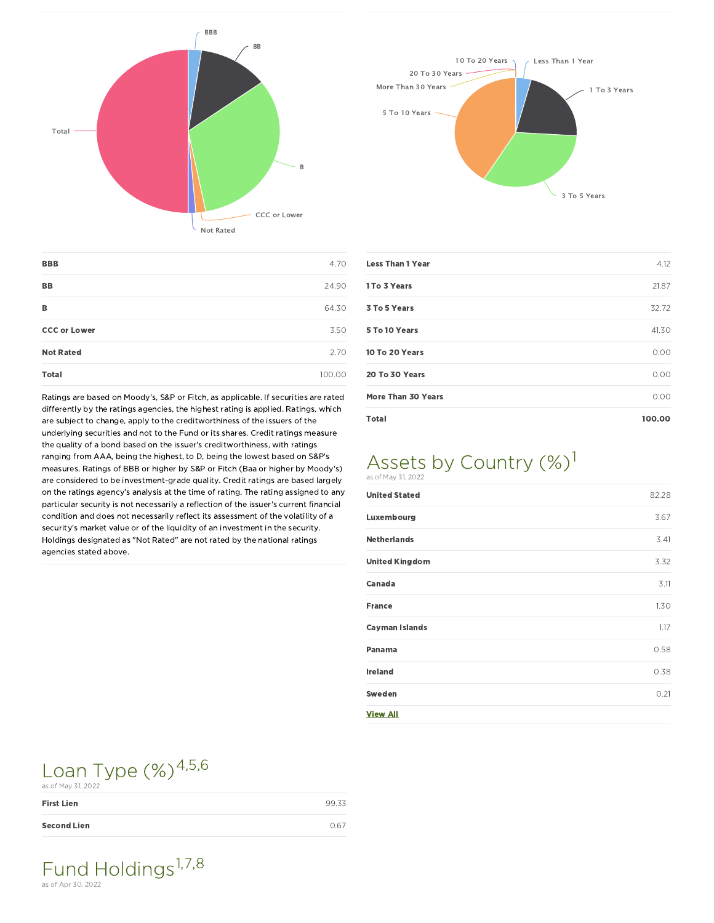



| <b>BBB</b>          | 4.70      |
|---------------------|-----------|
| <b>BB</b>           | 24.90     |
| в                   | 64.30     |
| <b>CCC or Lower</b> | 3.50      |
| <b>Not Rated</b>    | 2.70      |
| <b>Total</b>        | 100<br>חו |

Ratings are based on Moody's, S&P or Fitch, as applicable. If securities are rated differently by the ratings agencies, the highest rating is applied. Ratings, which are subject to change, apply to the creditworthiness of the issuers of the underlying securities and not to the Fund or its shares. Credit ratings measure the quality of a bond based on the issuer's creditworthiness, with ratings ranging from AAA, being the highest, to D, being the lowest based on S&P's measures. Ratings of BBB or higher by S&P or Fitch (Baa or higher by Moody's) are considered to be investment-grade quality. Credit ratings are based largely on the ratings agency's analysis at the time of rating. The rating assigned to any particular security is not necessarily a reflection of the issuer's current financial condition and does not necessarily reflect its assessment of the volatility of a security's market value or of the liquidity of an investment in the security. Holdings designated as "Not Rated" are not rated by the national ratings agencies stated above.

| <b>Less Than 1 Year</b>   | 4.12   |
|---------------------------|--------|
| 1 To 3 Years              | 21.87  |
| 3 To 5 Years              | 32.72  |
| 5 To 10 Years             | 41.30  |
| 10 To 20 Years            | 0.00   |
| 20 To 30 Years            | 0.00   |
| <b>More Than 30 Years</b> | 0.00   |
| <b>Total</b>              | 100.00 |

### Assets by Country (%)<sup>1</sup> as of May 31, 2022

| <b>United Stated</b>  | 82.28 |
|-----------------------|-------|
| Luxembourg            | 3.67  |
| <b>Netherlands</b>    | 3.41  |
| <b>United Kingdom</b> | 3.32  |
| Canada                | 3.11  |
| <b>France</b>         | 1.30  |
| <b>Cayman Islands</b> | 1.17  |
| Panama                | 0.58  |
| <b>Ireland</b>        | 0.38  |
| Sweden                | 0.21  |
| <b>View All</b>       |       |

## Loan Type  $(\%)^{4,5,6}$ as of May 31, 2022

| --- -- --- - - - - - - - - |       |
|----------------------------|-------|
| <b>First Lien</b>          | 99.33 |
| <b>Second Lien</b>         | 0.67  |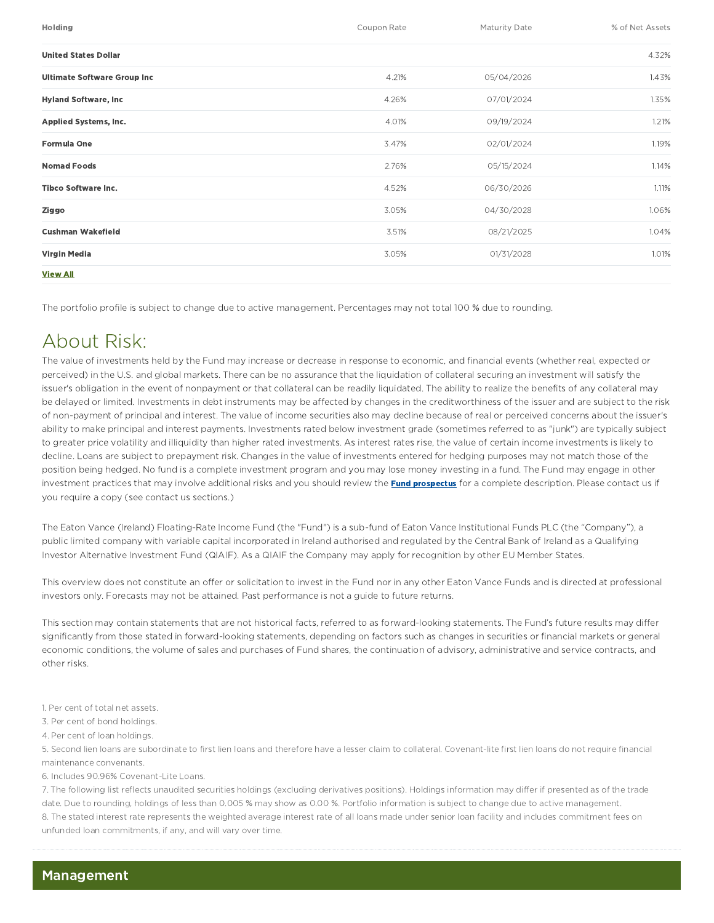| Holding                            | Coupon Rate | Maturity Date | % of Net Assets |
|------------------------------------|-------------|---------------|-----------------|
| <b>United States Dollar</b>        |             |               | 4.32%           |
| <b>Ultimate Software Group Inc</b> | 4.21%       | 05/04/2026    | 1.43%           |
| <b>Hyland Software, Inc.</b>       | 4.26%       | 07/01/2024    | 1.35%           |
| Applied Systems, Inc.              | 4.01%       | 09/19/2024    | 1.21%           |
| <b>Formula One</b>                 | 3.47%       | 02/01/2024    | 1.19%           |
| <b>Nomad Foods</b>                 | 2.76%       | 05/15/2024    | 1.14%           |
| <b>Tibco Software Inc.</b>         | 4.52%       | 06/30/2026    | 1.11%           |
| Ziggo                              | 3.05%       | 04/30/2028    | 1.06%           |
| <b>Cushman Wakefield</b>           | 3.51%       | 08/21/2025    | 1.04%           |
| Virgin Media                       | 3.05%       | 01/31/2028    | 1.01%           |
| <b>View All</b>                    |             |               |                 |

The portfolio profile is subject to change due to active management. Percentages may not total 100 % due to rounding.

# About Risk:

The value of investments held by the Fund may increase or decrease in response to economic, and financial events (whether real, expected or perceived) in the U.S. and global markets. There can be no assurance that the liquidation of collateral securing an investment will satisfy the issuer's obligation in the event of nonpayment or that collateral can be readily liquidated. The ability to realize the benefits of any collateral may be delayed or limited. Investments in debt instruments may be affected by changes in the creditworthiness of the issuer and are subject to the risk of non-payment of principal and interest. The value of income securities also may decline because of real or perceived concerns about the issuer's ability to make principal and interest payments. Investments rated below investment grade (sometimes referred to as "junk") are typically subject to greater price volatility and illiquidity than higher rated investments. As interest rates rise, the value of certain income investments is likely to decline. Loans are subject to prepayment risk. Changes in the value of investments entered for hedging purposes may not match those of the position being hedged. No fund is a complete investment program and you may lose money investing in a fund. The Fund may engage in other investment practices that may involve additional risks and you should review the **Fund prospectus** for a complete description. Please contact us if you require a copy (see contact us sections.)

The Eaton Vance (Ireland) Floating-Rate Income Fund (the "Fund") is a sub-fund of Eaton Vance Institutional Funds PLC (the "Company"), a public limited company with variable capital incorporated in Ireland authorised and regulated by the Central Bank of Ireland as a Qualifying Investor Alternative Investment Fund (QIAIF). As a QIAIF the Company may apply for recognition by other EU Member States.

This overview does not constitute an offer or solicitation to invest in the Fund nor in any other Eaton Vance Funds and is directed at professional investors only. Forecasts may not be attained. Past performance is not a guide to future returns.

This section may contain statements that are not historical facts, referred to as forward-looking statements. The Fund's future results may differ significantly from those stated in forward-looking statements, depending on factors such as changes in securities or financial markets or general economic conditions, the volume of sales and purchases of Fund shares, the continuation of advisory, administrative and service contracts, and other risks.

1. Per cent of total net assets.

3. Per cent of bond holdings.

4. Per cent of loan holdings.

5. Second lien loans are subordinate to first lien loans and therefore have a lesser claim to collateral. Covenant-lite first lien loans do not require financial maintenance convenants.

6. Includes 90.96% Covenant-Lite Loans.

7. The following list reflects unaudited securities holdings (excluding derivatives positions). Holdings information may differ if presented as of the trade date. Due to rounding, holdings of less than 0.005 % may show as 0.00 %. Portfolio information is subject to change due to active management. 8. The stated interest rate represents the weighted average interest rate of all loans made under senior loan facility and includes commitment fees on unfunded loan commitments, if any, and will vary over time.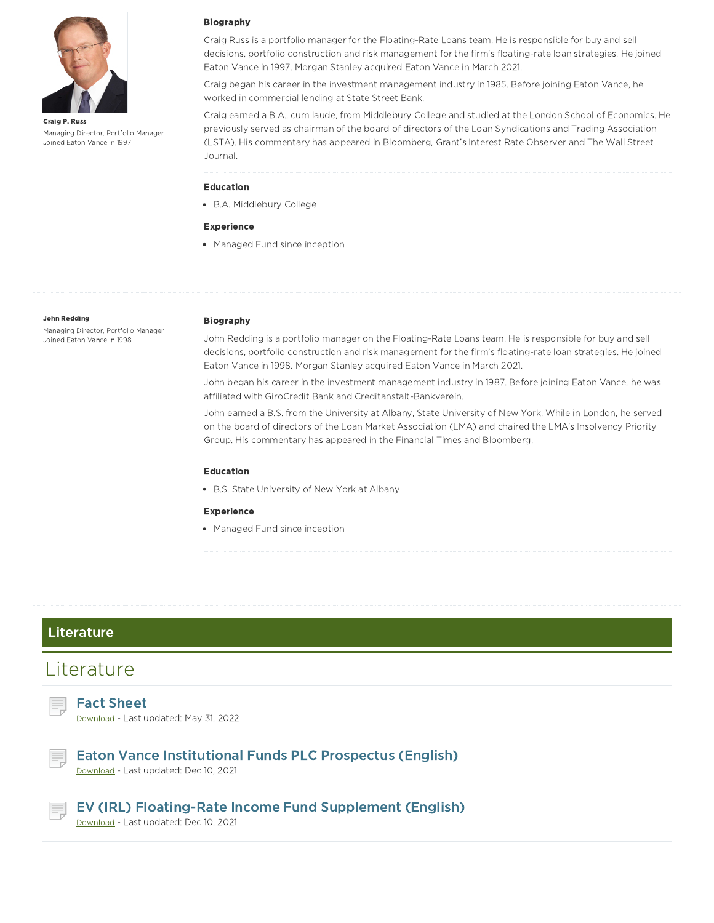

Craig P. Russ Managing Director, Portfolio Manager Joined Eaton Vance in 1997

#### Biography

Craig Russ is a portfolio manager for the Floating-Rate Loans team. He is responsible for buy and sell decisions, portfolio construction and risk management for the firm's floating-rate loan strategies. He joined Eaton Vance in 1997. Morgan Stanley acquired Eaton Vance in March 2021.

Craig began his career in the investment management industry in 1985. Before joining Eaton Vance, he worked in commercial lending at State Street Bank.

Craig earned a B.A., cum laude, from Middlebury College and studied at the London School of Economics. He previously served as chairman of the board of directors of the Loan Syndications and Trading Association (LSTA). His commentary has appeared in Bloomberg, Grant's Interest Rate Observer and The Wall Street Journal.

#### Education

B.A. Middlebury College

#### Experience

• Managed Fund since inception

#### John Redding

Managing Director, Portfolio Manager Joined Eaton Vance in 1998

#### Biography

John Redding is a portfolio manager on the Floating-Rate Loans team. He is responsible for buy and sell decisions, portfolio construction and risk management for the firm's floating-rate loan strategies. He joined Eaton Vance in 1998. Morgan Stanley acquired Eaton Vance in March 2021.

John began his career in the investment management industry in 1987. Before joining Eaton Vance, he was affiliated with GiroCredit Bank and Creditanstalt-Bankverein.

John earned a B.S. from the University at Albany, State University of New York. While in London, he served on the board of directors of the Loan Market Association (LMA) and chaired the LMA's Insolvency Priority Group. His commentary has appeared in the Financial Times and Bloomberg.

#### Education

B.S. State University of New York at Albany

#### **Experience**

• Managed Fund since inception

#### Literature

## Literature

Fact Sheet Download - Last updated: May 31, 2022

Eaton Vance Institutional Funds PLC Prospectus (English) Download - Last updated: Dec 10, 2021



EV (IRL) Floating-Rate Income Fund Supplement (English)

Download - Last updated: Dec 10, 2021